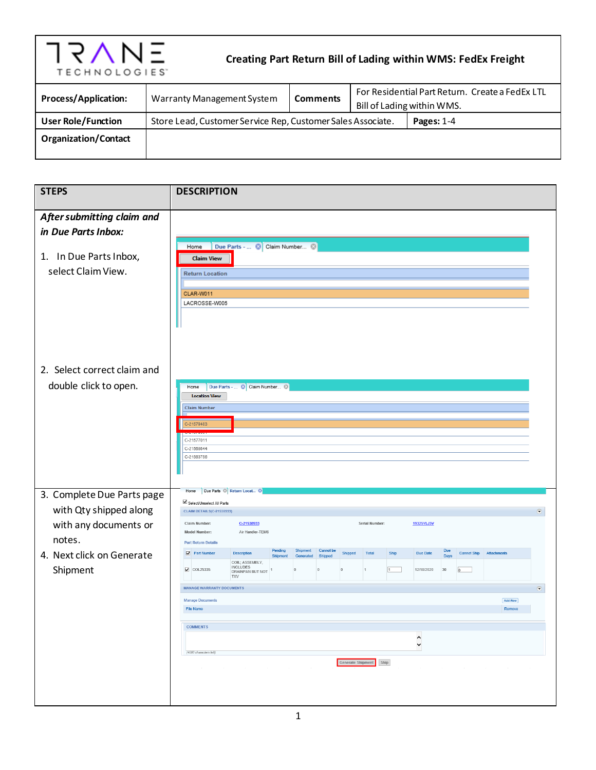

## **Creating Part Return Bill of Lading within WMS: FedEx Freight**

| <b>Process/Application:</b> | Warranty Management System                                  | <b>Comments</b> | For Residential Part Return. Create a FedEx LTL |  |
|-----------------------------|-------------------------------------------------------------|-----------------|-------------------------------------------------|--|
| <b>User Role/Function</b>   | Store Lead, Customer Service Rep, Customer Sales Associate. |                 | Bill of Lading within WMS.<br>Pages: $1-4$      |  |
| <b>Organization/Contact</b> |                                                             |                 |                                                 |  |

| <b>STEPS</b>                                 | <b>DESCRIPTION</b>                                                                                                                                                                                                         |  |
|----------------------------------------------|----------------------------------------------------------------------------------------------------------------------------------------------------------------------------------------------------------------------------|--|
|                                              |                                                                                                                                                                                                                            |  |
| After submitting claim and                   |                                                                                                                                                                                                                            |  |
| in Due Parts Inbox:                          |                                                                                                                                                                                                                            |  |
| 1. In Due Parts Inbox,<br>select Claim View. | Due Parts -  © Claim Number ©<br>Home<br><b>Claim View</b><br><b>Return Location</b><br>CLAR-W011<br>LACROSSE-W005                                                                                                         |  |
| 2. Select correct claim and                  |                                                                                                                                                                                                                            |  |
| double click to open.                        | Due Parts -  © Claim Number ©<br>Home<br><b>Location View</b>                                                                                                                                                              |  |
|                                              | <b>Claim Number</b>                                                                                                                                                                                                        |  |
|                                              | C-21579483                                                                                                                                                                                                                 |  |
|                                              | C-21577011                                                                                                                                                                                                                 |  |
|                                              | C-21568644<br>C-21563756                                                                                                                                                                                                   |  |
|                                              |                                                                                                                                                                                                                            |  |
|                                              |                                                                                                                                                                                                                            |  |
| 3. Complete Due Parts page                   | Home Due Parts @ Return Locat . ©<br>Select/Unselect All Parts                                                                                                                                                             |  |
| with Qty shipped along                       | <b>CLAIM DETAILS(C-21538933)</b><br>∍                                                                                                                                                                                      |  |
| with any documents or                        | Claim Number:<br>C-21538933<br>Serial Number:<br>19325YLJ3V<br>Model Number:<br>Air Handler-TEM6                                                                                                                           |  |
| notes.                                       | <b>Part Return Details</b>                                                                                                                                                                                                 |  |
| 4. Next click on Generate                    | Pending<br>Shipment<br><b>Cannot</b> be<br><b>Due</b><br>Due Date<br><b>Cannot Ship</b><br>Part Number<br>Shipped<br>Total<br>Ship<br><b>Attachments</b><br><b>Description</b><br>Days<br>Generated<br>Shinned<br>Shipment |  |
| Shipment                                     | COIL; ASSEMBLY,<br><b>INCLUDES</b><br>$\Box$ COL25335<br>1<br>12/18/2020<br>30<br>$\overline{0}$<br>$\overline{0}$<br>1<br>$\overline{0}$<br>$\theta$<br>DRAINPAN BUT NOT 1<br><b>TXV</b>                                  |  |
|                                              | <b>MANAGE WARRANTY DOCUMENTS</b><br>$\bigcirc$                                                                                                                                                                             |  |
|                                              | <b>Manage Documents</b><br><b>Add Row</b>                                                                                                                                                                                  |  |
|                                              | File Name<br>Remove                                                                                                                                                                                                        |  |
|                                              | <b>COMMENTS</b>                                                                                                                                                                                                            |  |
|                                              | $\hat{}$<br>$\check{~}$                                                                                                                                                                                                    |  |
|                                              | (4000 characters left)                                                                                                                                                                                                     |  |
|                                              | Generate Shipment Ship<br>the process of the control of the control of the control of<br>the control of the control of the control of the control of<br>$\sim 100$                                                         |  |
|                                              |                                                                                                                                                                                                                            |  |
|                                              |                                                                                                                                                                                                                            |  |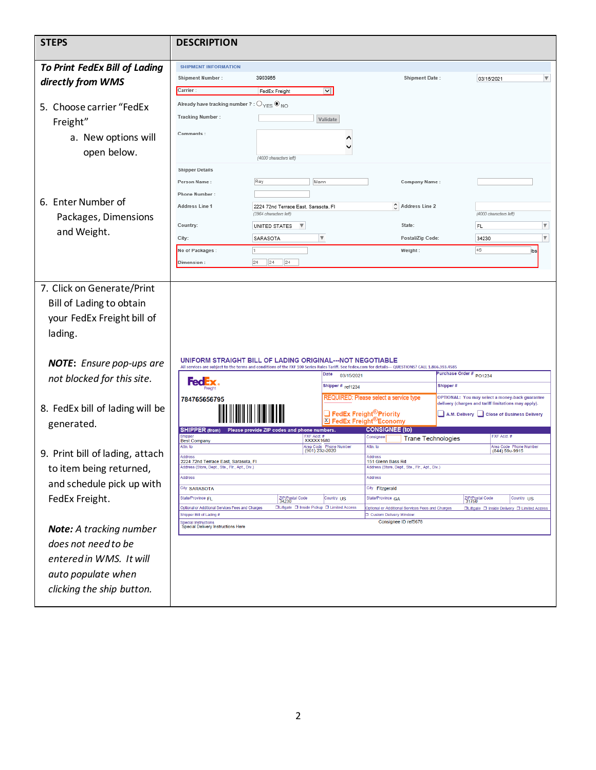| <b>STEPS</b>                                                                         | <b>DESCRIPTION</b>                                                                                   |                                                                                                                                                              |                                                               |                                                  |                                                                                                  |                         |
|--------------------------------------------------------------------------------------|------------------------------------------------------------------------------------------------------|--------------------------------------------------------------------------------------------------------------------------------------------------------------|---------------------------------------------------------------|--------------------------------------------------|--------------------------------------------------------------------------------------------------|-------------------------|
| <b>To Print FedEx Bill of Lading</b>                                                 | <b>SHIPMENT INFORMATION</b>                                                                          |                                                                                                                                                              |                                                               |                                                  |                                                                                                  |                         |
| directly from WMS                                                                    | <b>Shipment Number:</b>                                                                              | 3903965                                                                                                                                                      |                                                               | <b>Shipment Date:</b>                            | 03/15/2021                                                                                       | $\overline{\mathbf{v}}$ |
|                                                                                      | Carrier :                                                                                            | $\overline{\mathsf{v}}$<br>FedEx Freight                                                                                                                     |                                                               |                                                  |                                                                                                  |                         |
| 5. Choose carrier "FedEx                                                             | Already have tracking number ? : $\bigcirc_{\text{YES}} \bigcirc \bullet_{\text{NO}}$                |                                                                                                                                                              |                                                               |                                                  |                                                                                                  |                         |
| Freight"                                                                             | <b>Tracking Number:</b>                                                                              | Validate                                                                                                                                                     |                                                               |                                                  |                                                                                                  |                         |
|                                                                                      | Comments:                                                                                            |                                                                                                                                                              |                                                               |                                                  |                                                                                                  |                         |
| a. New options will                                                                  |                                                                                                      |                                                                                                                                                              |                                                               |                                                  |                                                                                                  |                         |
| open below.                                                                          |                                                                                                      | (4000 characters left)                                                                                                                                       |                                                               |                                                  |                                                                                                  |                         |
|                                                                                      | <b>Shipper Details</b>                                                                               |                                                                                                                                                              |                                                               |                                                  |                                                                                                  |                         |
|                                                                                      | Person Name:                                                                                         | Ray<br>Mann                                                                                                                                                  |                                                               | Company Name:                                    |                                                                                                  |                         |
|                                                                                      | <b>Phone Number:</b>                                                                                 |                                                                                                                                                              |                                                               |                                                  |                                                                                                  |                         |
| 6. Enter Number of                                                                   | Address Line 1                                                                                       | 2224 72nd Terrace East, Sarasota, FI<br>(3964 characters left)                                                                                               |                                                               | $\circ$ Address Line 2                           | (4000 characters left)                                                                           |                         |
| Packages, Dimensions                                                                 | Country:                                                                                             | UNITED STATES                                                                                                                                                |                                                               | State:                                           | FL                                                                                               | $\boldsymbol{\nabla}$   |
| and Weight.                                                                          | City:                                                                                                | $\overline{\mathbf{v}}$<br>SARASOTA                                                                                                                          |                                                               | Postal/Zip Code:                                 | 34230                                                                                            | $\overline{\mathbf{v}}$ |
|                                                                                      | No of Packages :                                                                                     | l1                                                                                                                                                           |                                                               | Weight:                                          | 45                                                                                               | lbs                     |
|                                                                                      | Dimension :                                                                                          | 24<br> 24<br> 24                                                                                                                                             |                                                               |                                                  |                                                                                                  |                         |
| 7. Click on Generate/Print<br>Bill of Lading to obtain<br>your FedEx Freight bill of |                                                                                                      |                                                                                                                                                              |                                                               |                                                  |                                                                                                  |                         |
| lading.                                                                              |                                                                                                      | UNIFORM STRAIGHT BILL OF LADING ORIGINAL---NOT NEGOTIABLE                                                                                                    |                                                               |                                                  |                                                                                                  |                         |
| <b>NOTE:</b> Ensure pop-ups are                                                      |                                                                                                      | All services are subject to the terms and conditions of the FXF 100 Series Rules Tariff. See fedex.com for details--- QUESTIONS? CALL 1.866.393.4585<br>Date | 03/15/2021                                                    |                                                  |                                                                                                  |                         |
| not blocked for this site.                                                           | ted B                                                                                                |                                                                                                                                                              | Shipper # ref1234                                             | Shipper #                                        | Purchase Order # PO1234                                                                          |                         |
|                                                                                      | 784765656795                                                                                         |                                                                                                                                                              | REQUIRED: Please select a service type                        |                                                  | OPTIONAL: You may select a money-back guarantee                                                  |                         |
| 8. FedEx bill of lading will be                                                      |                                                                                                      |                                                                                                                                                              | $\square$ FedEx Freight ${}^{\circledR}$ Priority             |                                                  | delivery (charges and tariff limitations may apply).<br>A.M. Delivery Close of Business Delivery |                         |
| generated.                                                                           | Shippe                                                                                               | SHIPPER (from) Please provide ZIP codes and phone numbers.                                                                                                   | X FedEx Freight <sup>®</sup> Economy<br><b>CONSIGNEE (to)</b> |                                                  |                                                                                                  |                         |
|                                                                                      | <b>Best Company</b><br>Attn. to                                                                      | FXF Acct. #<br>XXXXX1680                                                                                                                                     | Consignee<br>Attn. to                                         | <b>Trane Technologies</b>                        | FXF Acct.#                                                                                       |                         |
| 9. Print bill of lading, attach                                                      | <b>Address</b>                                                                                       | Area Code<br>(901) 232-2020                                                                                                                                  | <b>Address</b>                                                |                                                  | Area Code Phone Number<br>(844) 590-9915                                                         |                         |
| to item being returned,                                                              | 2224 72nd Terrace East, Sarasota, FI<br>Address (Store, Dept., Ste., Fir., Apt., Div.)               |                                                                                                                                                              | 151 Glenn Bass Rd                                             | Address (Store, Dept., Ste., Flr., Apt., Div.)   |                                                                                                  |                         |
| and schedule pick up with                                                            | Address                                                                                              |                                                                                                                                                              | Address                                                       |                                                  |                                                                                                  |                         |
|                                                                                      | City SARASOTA<br>State/Province FL                                                                   | ZIP/Postal Code<br>34230                                                                                                                                     | City Fitzgerald<br>Country US<br>State/Province GA            |                                                  | Country US                                                                                       |                         |
| FedEx Freight.                                                                       | Optional or Additional Services Fees and Charges                                                     | □Liftgate □ Inside Pickup □ Limited Access                                                                                                                   | Custom Delivery Window:                                       | Optional or Additional Services Fees and Charges | ZIP/Postal Code<br>31750<br>□Liftgate □ Inside Delivery □ Limited Access                         |                         |
|                                                                                      | Shipper Bill of Lading #<br><b>Special Instructions</b><br><b>Special Delivery Instructions Here</b> |                                                                                                                                                              |                                                               | Consignee ID ref5678                             |                                                                                                  |                         |
| <b>Note:</b> A tracking number                                                       |                                                                                                      |                                                                                                                                                              |                                                               |                                                  |                                                                                                  |                         |
| does not need to be                                                                  |                                                                                                      |                                                                                                                                                              |                                                               |                                                  |                                                                                                  |                         |
| entered in WMS. It will                                                              |                                                                                                      |                                                                                                                                                              |                                                               |                                                  |                                                                                                  |                         |
| auto populate when                                                                   |                                                                                                      |                                                                                                                                                              |                                                               |                                                  |                                                                                                  |                         |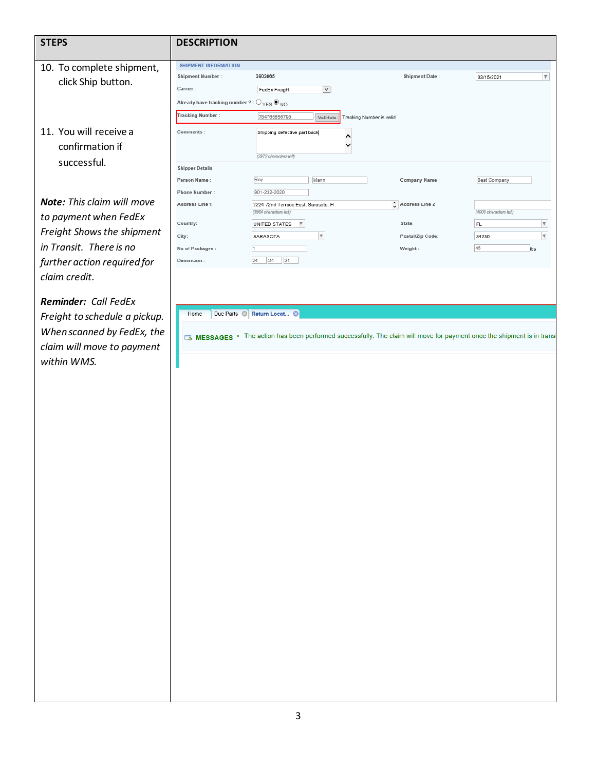## **STEPS DESCRIPTION** SHIPMENT INFORMATION 10. To complete shipment, **Shipment Number:** 3903965 **Shipment Date:** 03/15/2021  $\overline{\mathbf{v}}$ click Ship button. Carrier: FedEx Freight  $\blacktriangledown$ Already have tracking number ? :  $\bigcirc_{\text{YES}}\bigcircledcirc_{\text{NO}}$ Tracking Number : Tracking Number is valid 784765656795 Validate 11. You will receive a Comments : Shipping defective part back  $\overline{\phantom{a}}$  $\checkmark$ confirmation if (3972 characters left) successful. **Shipper Details**  $Ray$ Person Name: Mann Company Name: Best Company Phone Number: 901-232-2020 *Note: This claim will move*  Address Line 1  $\hat{\downarrow}$  Address Line 2 2224 72nd Terrace East, Sarasota, FI (4000 characters left) (3964 characters left) *to payment when FedEx*  Country: State:  $\overline{\mathbf v}$ UNITED STATES  $\forall$ FL *Freight Shows the shipment* City: SARASOTA  $\overline{\mathbf v}$ Postal/Zip Code: 34230  $\overline{\mathbf{v}}$ *in Transit. There is no*  No of Packages :  $\overline{1}$ Weight: 45 lbs

 $24$  24 24

*Reminder: Call FedEx Freight to schedule a pickup. When scanned by FedEx, the claim will move to payment* 

*further action required for* 

*claim credit.* 

*within WMS.* 

Home Due Parts & Return Locat... . 8

Dimension:

MESSAGES • The action has been performed successfully. The claim will move for payment once the shipment is in trans